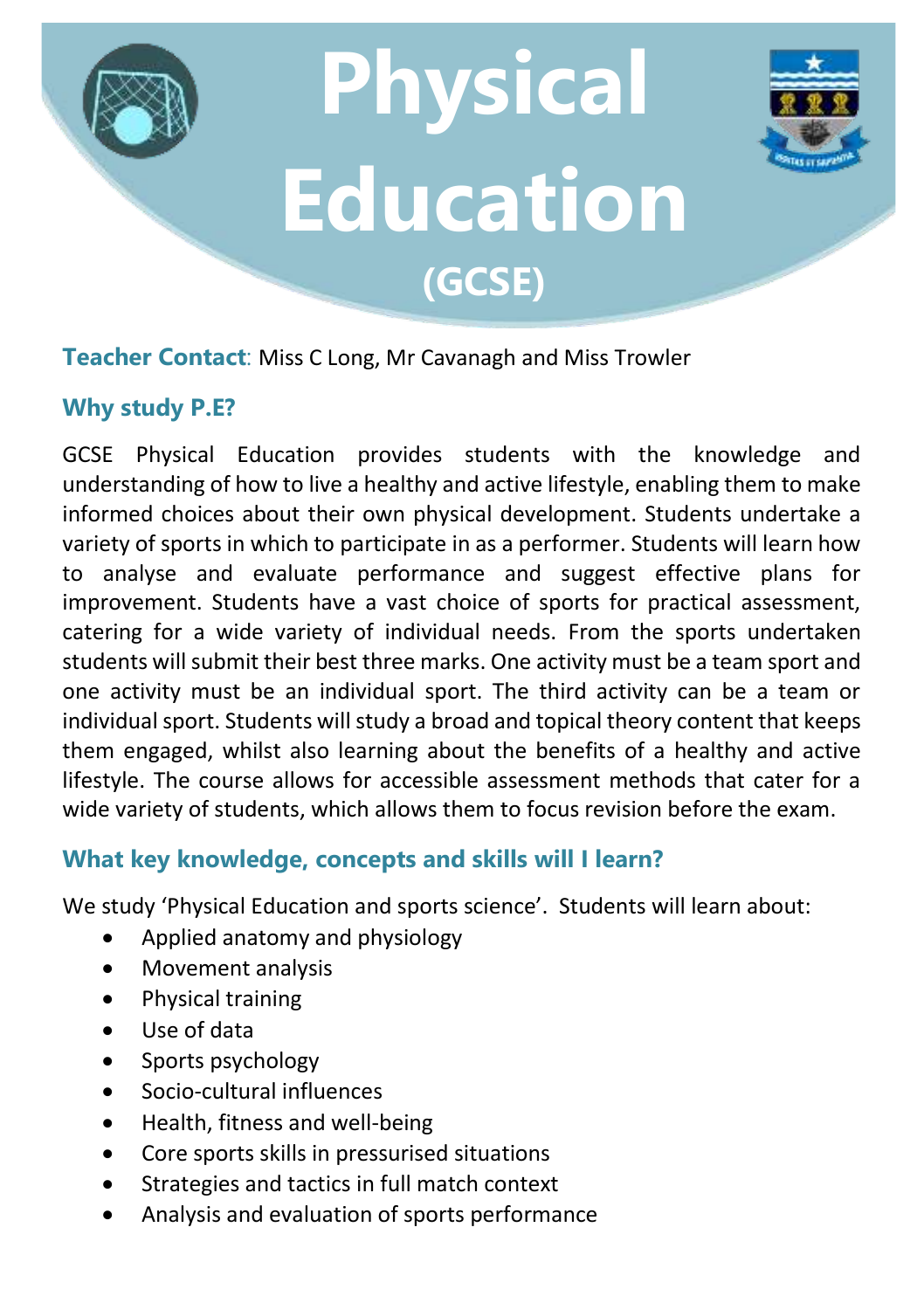



#### **Teacher Contact**: Miss C Long, Mr Cavanagh and Miss Trowler

## **Why study P.E?**

GCSE Physical Education provides students with the knowledge and understanding of how to live a healthy and active lifestyle, enabling them to make informed choices about their own physical development. Students undertake a variety of sports in which to participate in as a performer. Students will learn how to analyse and evaluate performance and suggest effective plans for improvement. Students have a vast choice of sports for practical assessment, catering for a wide variety of individual needs. From the sports undertaken students will submit their best three marks. One activity must be a team sport and one activity must be an individual sport. The third activity can be a team or individual sport. Students will study a broad and topical theory content that keeps them engaged, whilst also learning about the benefits of a healthy and active lifestyle. The course allows for accessible assessment methods that cater for a wide variety of students, which allows them to focus revision before the exam.

### **What key knowledge, concepts and skills will I learn?**

We study 'Physical Education and sports science'. Students will learn about:

- Applied anatomy and physiology
- Movement analysis
- Physical training
- Use of data
- Sports psychology
- Socio-cultural influences
- Health, fitness and well-being
- Core sports skills in pressurised situations
- Strategies and tactics in full match context
- Analysis and evaluation of sports performance